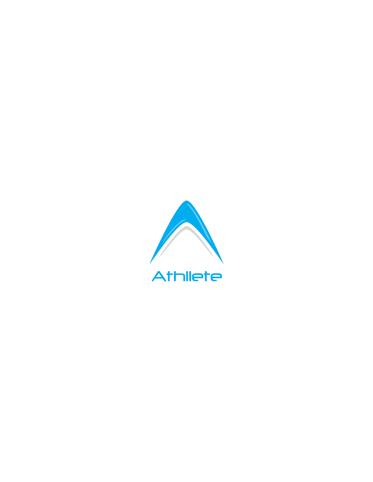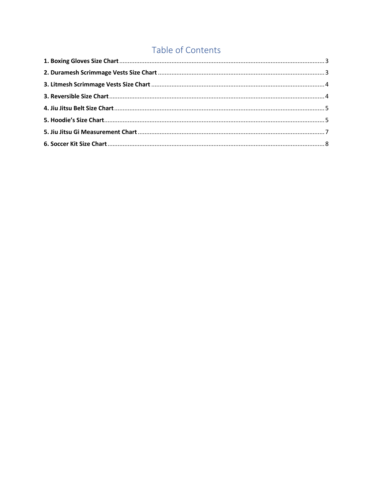### Table of Contents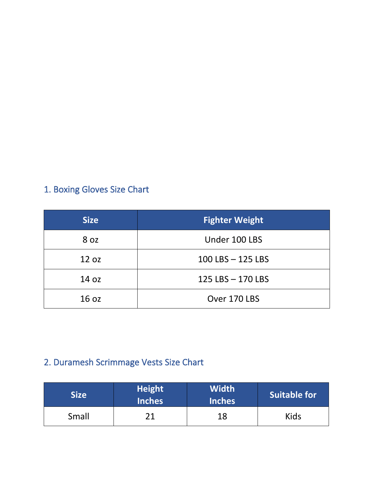# <span id="page-2-0"></span>1. Boxing Gloves Size Chart

| <b>Size</b>      | <b>Fighter Weight</b> |
|------------------|-----------------------|
| 8 oz             | Under 100 LBS         |
| 12 oz            | 100 LBS - 125 LBS     |
| 14 oz            | 125 LBS - 170 LBS     |
| 16 <sub>oz</sub> | Over 170 LBS          |

## <span id="page-2-1"></span>2. Duramesh Scrimmage Vests Size Chart

| <b>Size</b> | <b>Height</b><br><b>Inches</b> | <b>Width</b><br><b>Inches</b> | Suitable for |
|-------------|--------------------------------|-------------------------------|--------------|
| Small       |                                | 18                            | Kids         |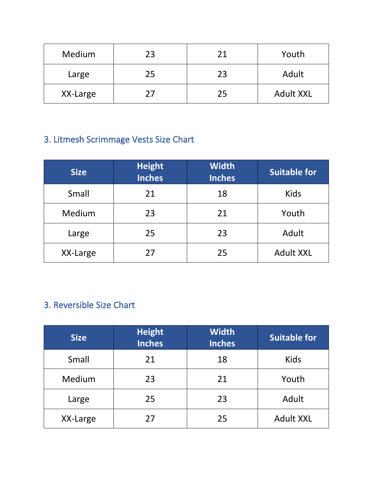| Medium   | 23 | 21 | Youth            |
|----------|----|----|------------------|
| Large    | 25 | 23 | Adult            |
| XX-Large | 27 | 25 | <b>Adult XXL</b> |

## <span id="page-3-0"></span>3. Litmesh Scrimmage Vests Size Chart

| <b>Size</b> | <b>Height</b><br><b>Inches</b> | <b>Width</b><br><b>Inches</b> | <b>Suitable for</b> |
|-------------|--------------------------------|-------------------------------|---------------------|
| Small       | 21                             | 18                            | <b>Kids</b>         |
| Medium      | 23                             | 21                            | Youth               |
| Large       | 25                             | 23                            | Adult               |
| XX-Large    | 27                             | 25                            | <b>Adult XXL</b>    |

### <span id="page-3-1"></span>3. Reversible Size Chart

| <b>Size</b> | <b>Height</b><br><b>Inches</b> | <b>Width</b><br><b>Inches</b> | <b>Suitable for</b> |
|-------------|--------------------------------|-------------------------------|---------------------|
| Small       | 21                             | 18                            | <b>Kids</b>         |
| Medium      | 23                             | 21                            | Youth               |
| Large       | 25                             | 23                            | Adult               |
| XX-Large    | 27                             | 25                            | <b>Adult XXL</b>    |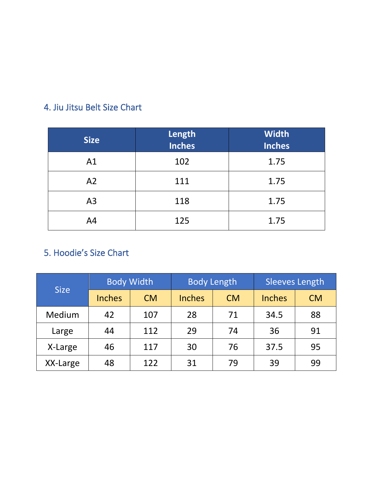### <span id="page-4-0"></span>4. Jiu Jitsu Belt Size Chart

| <b>Size</b>    | Length<br><b>Inches</b> | <b>Width</b><br><b>Inches</b> |
|----------------|-------------------------|-------------------------------|
| A1             | 102                     | 1.75                          |
| A2             | 111                     | 1.75                          |
| A <sub>3</sub> | 118                     | 1.75                          |
| A <sub>4</sub> | 125                     | 1.75                          |

#### <span id="page-4-1"></span>5. Hoodie's Size Chart

|             |               | <b>Body Width</b> |               | <b>Body Length</b> | <b>Sleeves Length</b> |           |  |
|-------------|---------------|-------------------|---------------|--------------------|-----------------------|-----------|--|
| <b>Size</b> | <b>Inches</b> | <b>CM</b>         | <b>Inches</b> | <b>CM</b>          | <b>Inches</b>         | <b>CM</b> |  |
| Medium      | 42            | 107               | 28            | 71                 | 34.5                  | 88        |  |
| Large       | 44            | 112               | 29            | 74                 | 36                    | 91        |  |
| X-Large     | 46            | 117               | 30            | 76                 | 37.5                  | 95        |  |
| XX-Large    | 48            | 122               | 31            | 79                 | 39                    | 99        |  |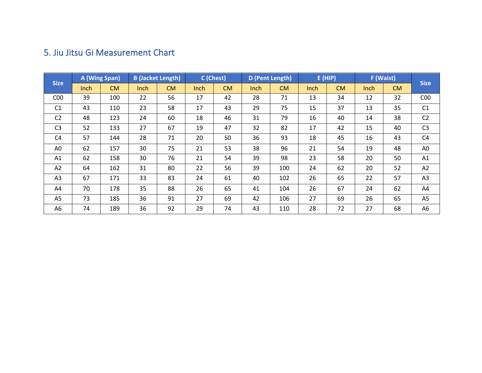#### 5. Jiu Jitsu Gi Measurement Chart

<span id="page-6-0"></span>

| <b>Size</b>     |             | A (Wing Span) |      | <b>B</b> (Jacket Length) | C (Chest) |           | D (Pent Length) |           |             | E(HIP)    |      | F (Waist) | <b>Size</b>     |
|-----------------|-------------|---------------|------|--------------------------|-----------|-----------|-----------------|-----------|-------------|-----------|------|-----------|-----------------|
|                 | <b>Inch</b> | <b>CM</b>     | Inch | CM                       | Inch      | <b>CM</b> | <b>Inch</b>     | <b>CM</b> | <b>Inch</b> | <b>CM</b> | Inch | <b>CM</b> |                 |
| C <sub>00</sub> | 39          | 100           | 22   | 56                       | 17        | 42        | 28              | 71        | 13          | 34        | 12   | 32        | C <sub>00</sub> |
| C <sub>1</sub>  | 43          | 110           | 23   | 58                       | 17        | 43        | 29              | 75        | 15          | 37        | 13   | 35        | C1              |
| C <sub>2</sub>  | 48          | 123           | 24   | 60                       | 18        | 46        | 31              | 79        | 16          | 40        | 14   | 38        | C <sub>2</sub>  |
| C <sub>3</sub>  | 52          | 133           | 27   | 67                       | 19        | 47        | 32              | 82        | 17          | 42        | 15   | 40        | C <sub>3</sub>  |
| C <sub>4</sub>  | 57          | 144           | 28   | 71                       | 20        | 50        | 36              | 93        | 18          | 45        | 16   | 43        | C4              |
| A0              | 62          | 157           | 30   | 75                       | 21        | 53        | 38              | 96        | 21          | 54        | 19   | 48        | A <sub>0</sub>  |
| A1              | 62          | 158           | 30   | 76                       | 21        | 54        | 39              | 98        | 23          | 58        | 20   | 50        | A1              |
| A2              | 64          | 162           | 31   | 80                       | 22        | 56        | 39              | 100       | 24          | 62        | 20   | 52        | A2              |
| A3              | 67          | 171           | 33   | 83                       | 24        | 61        | 40              | 102       | 26          | 65        | 22   | 57        | A <sub>3</sub>  |
| A4              | 70          | 178           | 35   | 88                       | 26        | 65        | 41              | 104       | 26          | 67        | 24   | 62        | A4              |
| A <sub>5</sub>  | 73          | 185           | 36   | 91                       | 27        | 69        | 42              | 106       | 27          | 69        | 26   | 65        | A <sub>5</sub>  |
| A6              | 74          | 189           | 36   | 92                       | 29        | 74        | 43              | 110       | 28          | 72        | 27   | 68        | A6              |